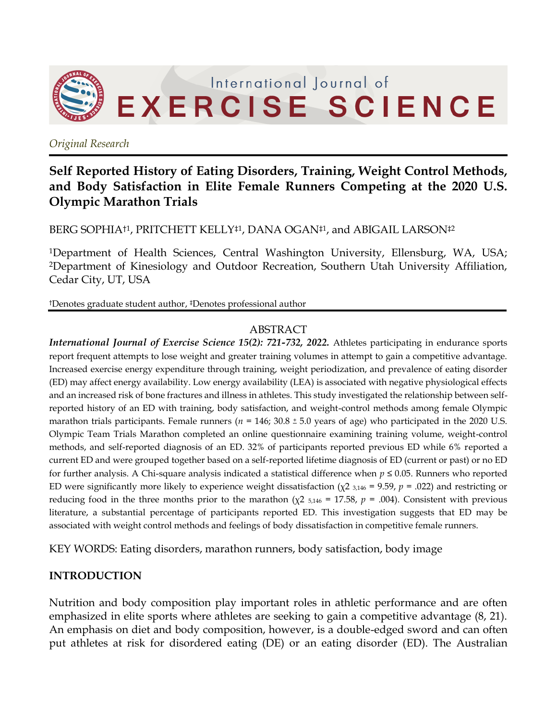

*Original Research*

# **Self Reported History of Eating Disorders, Training, Weight Control Methods, and Body Satisfaction in Elite Female Runners Competing at the 2020 U.S. Olympic Marathon Trials**

BERG SOPHIA†1, PRITCHETT KELLY‡1, DANA OGAN‡1, and ABIGAIL LARSON‡2

<sup>1</sup>Department of Health Sciences, Central Washington University, Ellensburg, WA, USA; <sup>2</sup>Department of Kinesiology and Outdoor Recreation, Southern Utah University Affiliation, Cedar City, UT, USA

†Denotes graduate student author, ‡Denotes professional author

#### ABSTRACT

*International Journal of Exercise Science 15(2): 721-732, 2022.* Athletes participating in endurance sports report frequent attempts to lose weight and greater training volumes in attempt to gain a competitive advantage. Increased exercise energy expenditure through training, weight periodization, and prevalence of eating disorder (ED) may affect energy availability. Low energy availability (LEA) is associated with negative physiological effects and an increased risk of bone fractures and illness in athletes. This study investigated the relationship between selfreported history of an ED with training, body satisfaction, and weight-control methods among female Olympic marathon trials participants. Female runners ( $n = 146$ ; 30.8 ± 5.0 years of age) who participated in the 2020 U.S. Olympic Team Trials Marathon completed an online questionnaire examining training volume, weight-control methods, and self-reported diagnosis of an ED. 32% of participants reported previous ED while 6% reported a current ED and were grouped together based on a self-reported lifetime diagnosis of ED (current or past) or no ED for further analysis. A Chi-square analysis indicated a statistical difference when *p* ≤ 0.05. Runners who reported ED were significantly more likely to experience weight dissatisfaction (χ2 3,146 = 9.59, *p* = .022) and restricting or reducing food in the three months prior to the marathon ( $χ$ 2  $_{5,146}$  = 17.58,  $p$  = .004). Consistent with previous literature, a substantial percentage of participants reported ED. This investigation suggests that ED may be associated with weight control methods and feelings of body dissatisfaction in competitive female runners.

KEY WORDS: Eating disorders, marathon runners, body satisfaction, body image

#### **INTRODUCTION**

Nutrition and body composition play important roles in athletic performance and are often emphasized in elite sports where athletes are seeking to gain a competitive advantage (8, 21). An emphasis on diet and body composition, however, is a double-edged sword and can often put athletes at risk for disordered eating (DE) or an eating disorder (ED). The Australian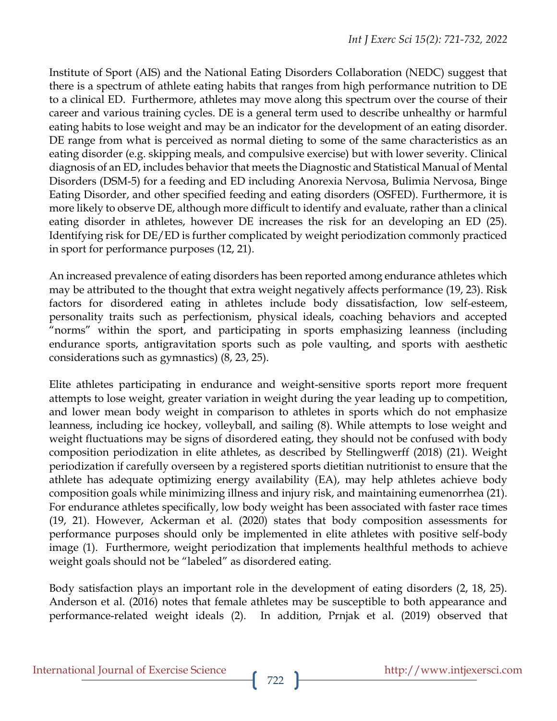Institute of Sport (AIS) and the National Eating Disorders Collaboration (NEDC) suggest that there is a spectrum of athlete eating habits that ranges from high performance nutrition to DE to a clinical ED. Furthermore, athletes may move along this spectrum over the course of their career and various training cycles. DE is a general term used to describe unhealthy or harmful eating habits to lose weight and may be an indicator for the development of an eating disorder. DE range from what is perceived as normal dieting to some of the same characteristics as an eating disorder (e.g. skipping meals, and compulsive exercise) but with lower severity. Clinical diagnosis of an ED, includes behavior that meets the Diagnostic and Statistical Manual of Mental Disorders (DSM-5) for a feeding and ED including Anorexia Nervosa, Bulimia Nervosa, Binge Eating Disorder, and other specified feeding and eating disorders (OSFED). Furthermore, it is more likely to observe DE, although more difficult to identify and evaluate, rather than a clinical eating disorder in athletes, however DE increases the risk for an developing an ED (25). Identifying risk for DE/ED is further complicated by weight periodization commonly practiced in sport for performance purposes (12, 21).

An increased prevalence of eating disorders has been reported among endurance athletes which may be attributed to the thought that extra weight negatively affects performance (19, 23). Risk factors for disordered eating in athletes include body dissatisfaction, low self-esteem, personality traits such as perfectionism, physical ideals, coaching behaviors and accepted "norms" within the sport, and participating in sports emphasizing leanness (including endurance sports, antigravitation sports such as pole vaulting, and sports with aesthetic considerations such as gymnastics) (8, 23, 25).

Elite athletes participating in endurance and weight-sensitive sports report more frequent attempts to lose weight, greater variation in weight during the year leading up to competition, and lower mean body weight in comparison to athletes in sports which do not emphasize leanness, including ice hockey, volleyball, and sailing (8). While attempts to lose weight and weight fluctuations may be signs of disordered eating, they should not be confused with body composition periodization in elite athletes, as described by Stellingwerff (2018) (21). Weight periodization if carefully overseen by a registered sports dietitian nutritionist to ensure that the athlete has adequate optimizing energy availability (EA), may help athletes achieve body composition goals while minimizing illness and injury risk, and maintaining eumenorrhea (21). For endurance athletes specifically, low body weight has been associated with faster race times (19, 21). However, Ackerman et al. (2020) states that body composition assessments for performance purposes should only be implemented in elite athletes with positive self-body image (1). Furthermore, weight periodization that implements healthful methods to achieve weight goals should not be "labeled" as disordered eating.

Body satisfaction plays an important role in the development of eating disorders (2, 18, 25). Anderson et al. (2016) notes that female athletes may be susceptible to both appearance and performance-related weight ideals (2). In addition, Prnjak et al. (2019) observed that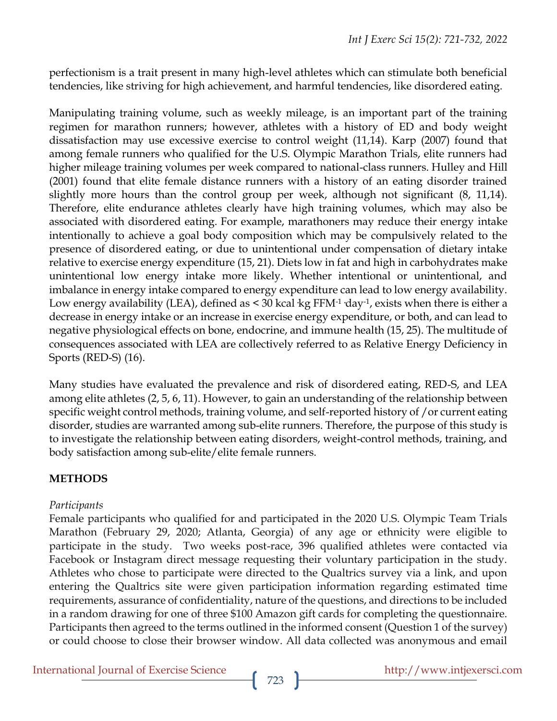perfectionism is a trait present in many high-level athletes which can stimulate both beneficial tendencies, like striving for high achievement, and harmful tendencies, like disordered eating.

Manipulating training volume, such as weekly mileage, is an important part of the training regimen for marathon runners; however, athletes with a history of ED and body weight dissatisfaction may use excessive exercise to control weight (11,14). Karp (2007) found that among female runners who qualified for the U.S. Olympic Marathon Trials, elite runners had higher mileage training volumes per week compared to national-class runners. Hulley and Hill (2001) found that elite female distance runners with a history of an eating disorder trained slightly more hours than the control group per week, although not significant (8, 11,14). Therefore, elite endurance athletes clearly have high training volumes, which may also be associated with disordered eating. For example, marathoners may reduce their energy intake intentionally to achieve a goal body composition which may be compulsively related to the presence of disordered eating, or due to unintentional under compensation of dietary intake relative to exercise energy expenditure (15, 21). Diets low in fat and high in carbohydrates make unintentional low energy intake more likely. Whether intentional or unintentional, and imbalance in energy intake compared to energy expenditure can lead to low energy availability. Low energy availability (LEA), defined as  $\leq$  30 kcal kg FFM<sup>-1</sup> day<sup>-1</sup>, exists when there is either a decrease in energy intake or an increase in exercise energy expenditure, or both, and can lead to negative physiological effects on bone, endocrine, and immune health (15, 25). The multitude of consequences associated with LEA are collectively referred to as Relative Energy Deficiency in Sports (RED-S) (16).

Many studies have evaluated the prevalence and risk of disordered eating, RED-S, and LEA among elite athletes (2, 5, 6, 11). However, to gain an understanding of the relationship between specific weight control methods, training volume, and self-reported history of /or current eating disorder, studies are warranted among sub-elite runners. Therefore, the purpose of this study is to investigate the relationship between eating disorders, weight-control methods, training, and body satisfaction among sub-elite/elite female runners.

### **METHODS**

### *Participants*

Female participants who qualified for and participated in the 2020 U.S. Olympic Team Trials Marathon (February 29, 2020; Atlanta, Georgia) of any age or ethnicity were eligible to participate in the study. Two weeks post-race, 396 qualified athletes were contacted via Facebook or Instagram direct message requesting their voluntary participation in the study. Athletes who chose to participate were directed to the Qualtrics survey via a link, and upon entering the Qualtrics site were given participation information regarding estimated time requirements, assurance of confidentiality, nature of the questions, and directions to be included in a random drawing for one of three \$100 Amazon gift cards for completing the questionnaire. Participants then agreed to the terms outlined in the informed consent (Question 1 of the survey) or could choose to close their browser window. All data collected was anonymous and email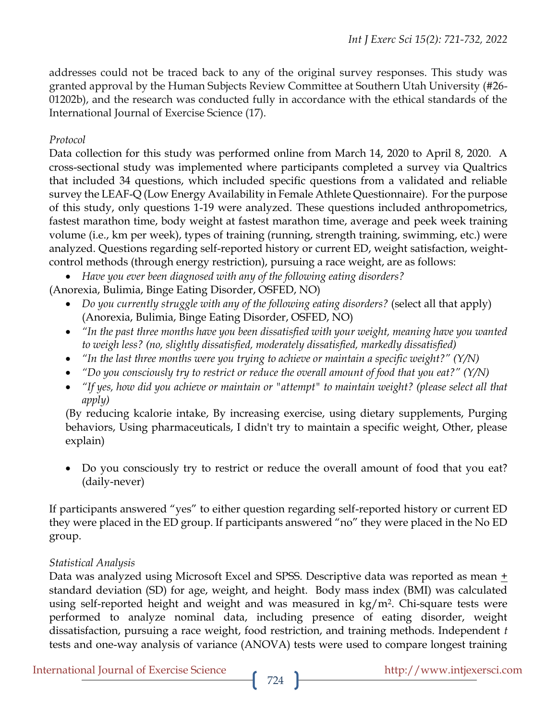addresses could not be traced back to any of the original survey responses. This study was granted approval by the Human Subjects Review Committee at Southern Utah University (#26- 01202b), and the research was conducted fully in accordance with the ethical standards of the International Journal of Exercise Science (17).

## *Protocol*

Data collection for this study was performed online from March 14, 2020 to April 8, 2020. A cross-sectional study was implemented where participants completed a survey via Qualtrics that included 34 questions, which included specific questions from a validated and reliable survey the LEAF-Q (Low Energy Availability in Female Athlete Questionnaire). For the purpose of this study, only questions 1-19 were analyzed. These questions included anthropometrics, fastest marathon time, body weight at fastest marathon time, average and peek week training volume (i.e., km per week), types of training (running, strength training, swimming, etc.) were analyzed. Questions regarding self-reported history or current ED, weight satisfaction, weightcontrol methods (through energy restriction), pursuing a race weight, are as follows:

*Have you ever been diagnosed with any of the following eating disorders?*

(Anorexia, Bulimia, Binge Eating Disorder, OSFED, NO)

- Do you currently struggle with any of the following eating disorders? (select all that apply) (Anorexia, Bulimia, Binge Eating Disorder, OSFED, NO)
- *"In the past three months have you been dissatisfied with your weight, meaning have you wanted to weigh less? (no, slightly dissatisfied, moderately dissatisfied, markedly dissatisfied)*
- *"In the last three months were you trying to achieve or maintain a specific weight?" (Y/N)*
- *"Do you consciously try to restrict or reduce the overall amount of food that you eat?" (Y/N)*
- "If yes, how did you achieve or maintain or "attempt" to maintain weight? (please select all that *apply)*

(By reducing kcalorie intake, By increasing exercise, using dietary supplements, Purging behaviors, Using pharmaceuticals, I didn't try to maintain a specific weight, Other, please explain)

 Do you consciously try to restrict or reduce the overall amount of food that you eat? (daily-never)

If participants answered "yes" to either question regarding self-reported history or current ED they were placed in the ED group. If participants answered "no" they were placed in the No ED group.

# *Statistical Analysis*

Data was analyzed using Microsoft Excel and SPSS. Descriptive data was reported as mean  $+$ standard deviation (SD) for age, weight, and height. Body mass index (BMI) was calculated using self-reported height and weight and was measured in kg/m<sup>2</sup>. Chi-square tests were performed to analyze nominal data, including presence of eating disorder, weight dissatisfaction, pursuing a race weight, food restriction, and training methods. Independent *t* tests and one-way analysis of variance (ANOVA) tests were used to compare longest training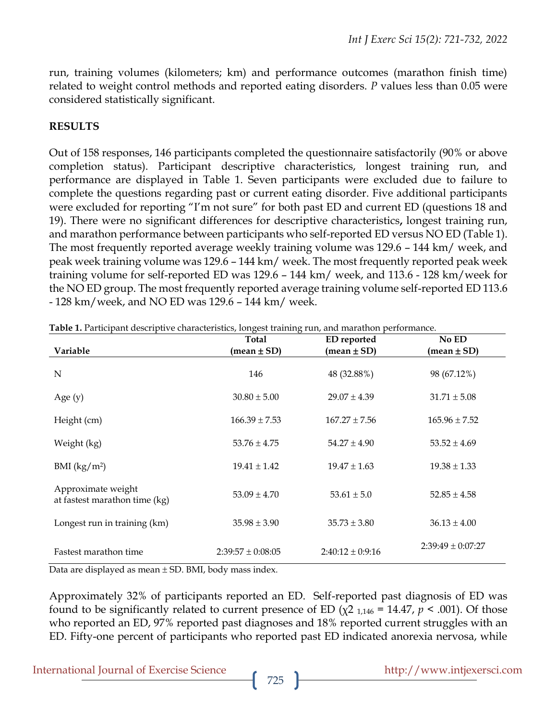run, training volumes (kilometers; km) and performance outcomes (marathon finish time) related to weight control methods and reported eating disorders. *P* values less than 0.05 were considered statistically significant.

### **RESULTS**

Out of 158 responses, 146 participants completed the questionnaire satisfactorily (90% or above completion status). Participant descriptive characteristics, longest training run, and performance are displayed in Table 1. Seven participants were excluded due to failure to complete the questions regarding past or current eating disorder. Five additional participants were excluded for reporting "I'm not sure" for both past ED and current ED (questions 18 and 19). There were no significant differences for descriptive characteristics**,** longest training run, and marathon performance between participants who self-reported ED versus NO ED (Table 1). The most frequently reported average weekly training volume was 129.6 – 144 km/ week, and peak week training volume was 129.6 – 144 km/ week. The most frequently reported peak week training volume for self-reported ED was 129.6 – 144 km/ week, and 113.6 - 128 km/week for the NO ED group. The most frequently reported average training volume self-reported ED 113.6 - 128 km/week, and NO ED was 129.6 – 144 km/ week.

| <b>AND 21</b> Handpain accempute characteristics, iongest training fail, and maratheri | Total                 | <b>ED</b> reported   | No ED                 |
|----------------------------------------------------------------------------------------|-----------------------|----------------------|-----------------------|
| Variable                                                                               | $(mean \pm SD)$       | $mean \pm SD$        | $mean \pm SD$         |
| N                                                                                      | 146                   | 48 (32.88%)          | 98 (67.12%)           |
| Age $(y)$                                                                              | $30.80 \pm 5.00$      | $29.07 \pm 4.39$     | $31.71 \pm 5.08$      |
| Height (cm)                                                                            | $166.39 \pm 7.53$     | $167.27 \pm 7.56$    | $165.96 \pm 7.52$     |
| Weight (kg)                                                                            | $53.76 \pm 4.75$      | $54.27 \pm 4.90$     | $53.52 \pm 4.69$      |
| BMI $(kg/m^2)$                                                                         | $19.41 \pm 1.42$      | $19.47 \pm 1.63$     | $19.38 \pm 1.33$      |
| Approximate weight<br>at fastest marathon time (kg)                                    | $53.09 \pm 4.70$      | $53.61 \pm 5.0$      | $52.85 \pm 4.58$      |
| Longest run in training (km)                                                           | $35.98 \pm 3.90$      | $35.73 \pm 3.80$     | $36.13 \pm 4.00$      |
| Fastest marathon time                                                                  | $2:39:57 \pm 0:08:05$ | $2:40:12 \pm 0:9:16$ | $2:39:49 \pm 0:07:27$ |

**Table 1.** Participant descriptive characteristics, longest training run, and marathon performance.

Data are displayed as mean  $\pm$  SD. BMI, body mass index.

Approximately 32% of participants reported an ED. Self-reported past diagnosis of ED was found to be significantly related to current presence of ED ( $\chi$ 2 <sub>1,146</sub> = 14.47,  $p$  < .001). Of those who reported an ED, 97% reported past diagnoses and 18% reported current struggles with an ED. Fifty-one percent of participants who reported past ED indicated anorexia nervosa, while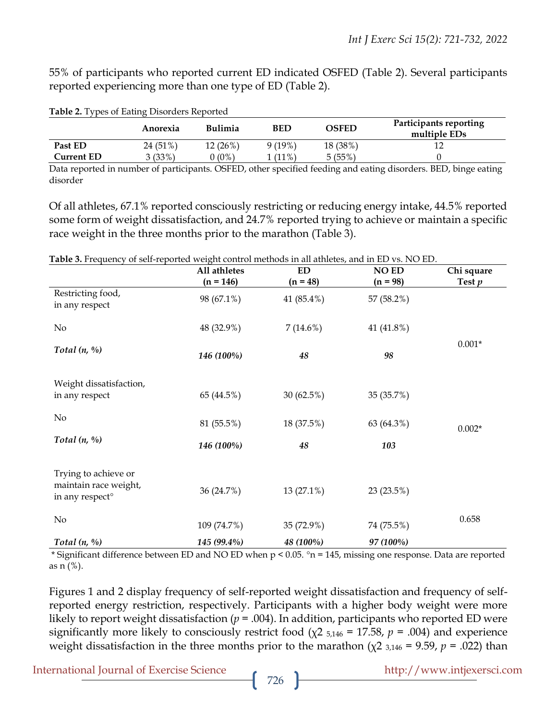55% of participants who reported current ED indicated OSFED (Table 2). Several participants reported experiencing more than one type of ED (Table 2).

|                   | Anorexia | <b>Bulimia</b> | BED       | <b>OSFED</b> | Participants reporting<br>multiple EDs |
|-------------------|----------|----------------|-----------|--------------|----------------------------------------|
| Past ED           | 24 (51%) | $12(26\%)$     | $9(19\%)$ | 18 (38%)     | ┸스                                     |
| <b>Current ED</b> | 3(33%)   | J(0%)          | $(11\%)$  | 5(55%)       |                                        |

**Table 2.** Types of Eating Disorders Reported

Data reported in number of participants. OSFED, other specified feeding and eating disorders. BED, binge eating disorder

Of all athletes, 67.1% reported consciously restricting or reducing energy intake, 44.5% reported some form of weight dissatisfaction, and 24.7% reported trying to achieve or maintain a specific race weight in the three months prior to the marathon (Table 3).

|  |  | Table 3. Frequency of self-reported weight control methods in all athletes, and in ED vs. NO ED. |  |  |
|--|--|--------------------------------------------------------------------------------------------------|--|--|
|  |  |                                                                                                  |  |  |

|                                                                              | All athletes              | <b>ED</b>                | <b>NO ED</b>             | Chi square |
|------------------------------------------------------------------------------|---------------------------|--------------------------|--------------------------|------------|
| Restricting food,<br>in any respect                                          | $(n = 146)$<br>98 (67.1%) | $(n = 48)$<br>41 (85.4%) | $(n = 98)$<br>57 (58.2%) | Test $p$   |
| $\rm No$                                                                     | 48 (32.9%)                | 7(14.6%)                 | 41 (41.8%)               |            |
| Total $(n, \%)$                                                              | 146 (100%)                | 48                       | 98                       | $0.001*$   |
| Weight dissatisfaction,<br>in any respect                                    | 65 (44.5%)                | 30 (62.5%)               | 35 (35.7%)               |            |
| No                                                                           | 81 (55.5%)                | 18 (37.5%)               | 63 (64.3%)               | $0.002*$   |
| Total $(n, \%)$                                                              | 146 (100%)                | 48                       | 103                      |            |
| Trying to achieve or<br>maintain race weight,<br>in any respect <sup>o</sup> | 36 (24.7%)                | 13 (27.1%)               | 23(23.5%)                |            |
| $\rm No$                                                                     | 109 (74.7%)               | 35 (72.9%)               | 74 (75.5%)               | 0.658      |
| Total $(n, \%)$                                                              | 145 (99.4%)               | 48 (100%)                | 97 (100%)                |            |

\* Significant difference between ED and NO ED when  $p < 0.05$ .  $n = 145$ , missing one response. Data are reported as n (%).

Figures 1 and 2 display frequency of self-reported weight dissatisfaction and frequency of selfreported energy restriction, respectively. Participants with a higher body weight were more likely to report weight dissatisfaction (*p* = .004). In addition, participants who reported ED were significantly more likely to consciously restrict food (χ2 5,146 = 17.58, *p* = .004) and experience weight dissatisfaction in the three months prior to the marathon (χ2 3,146 = 9.59, *p* = .022) than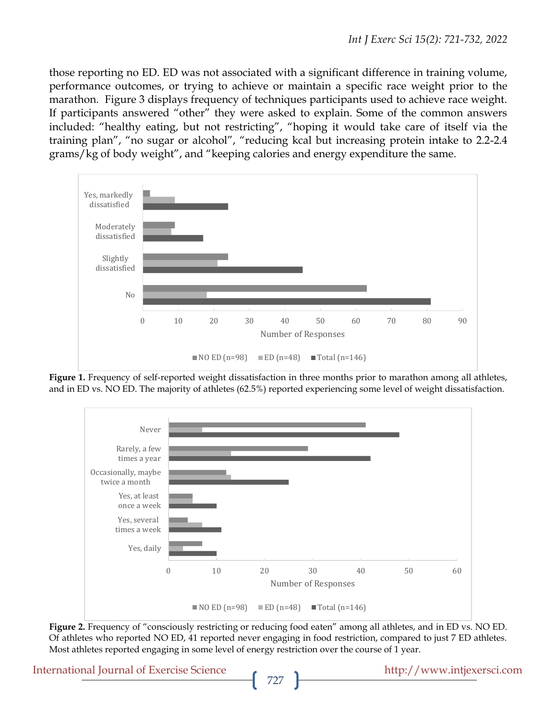those reporting no ED. ED was not associated with a significant difference in training volume, performance outcomes, or trying to achieve or maintain a specific race weight prior to the marathon. Figure 3 displays frequency of techniques participants used to achieve race weight. If participants answered "other" they were asked to explain. Some of the common answers included: "healthy eating, but not restricting", "hoping it would take care of itself via the training plan", "no sugar or alcohol", "reducing kcal but increasing protein intake to 2.2-2.4 grams/kg of body weight", and "keeping calories and energy expenditure the same.



Figure 1. Frequency of self-reported weight dissatisfaction in three months prior to marathon among all athletes, and in ED vs. NO ED. The majority of athletes (62.5%) reported experiencing some level of weight dissatisfaction.



**Figure 2.** Frequency of "consciously restricting or reducing food eaten" among all athletes, and in ED vs. NO ED. Of athletes who reported NO ED, 41 reported never engaging in food restriction, compared to just 7 ED athletes. Most athletes reported engaging in some level of energy restriction over the course of 1 year.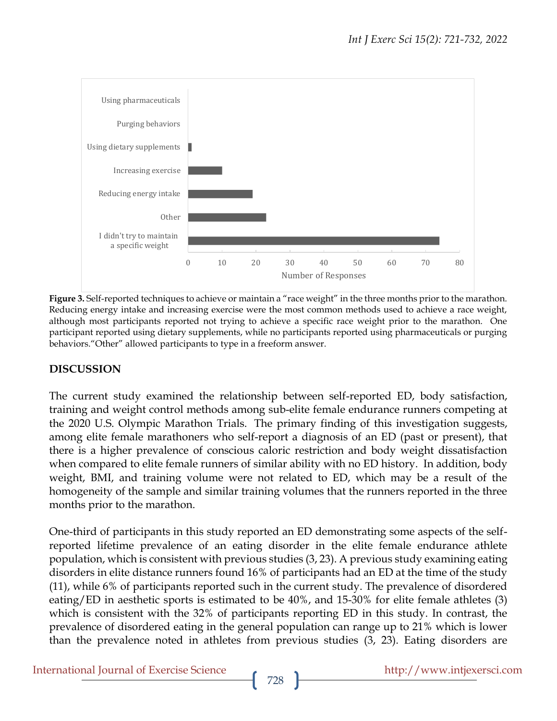

**Figure 3.** Self-reported techniques to achieve or maintain a "race weight" in the three months prior to the marathon. Reducing energy intake and increasing exercise were the most common methods used to achieve a race weight, although most participants reported not trying to achieve a specific race weight prior to the marathon. One participant reported using dietary supplements, while no participants reported using pharmaceuticals or purging behaviors."Other" allowed participants to type in a freeform answer.

# **DISCUSSION**

The current study examined the relationship between self-reported ED, body satisfaction, training and weight control methods among sub-elite female endurance runners competing at the 2020 U.S. Olympic Marathon Trials. The primary finding of this investigation suggests, among elite female marathoners who self-report a diagnosis of an ED (past or present), that there is a higher prevalence of conscious caloric restriction and body weight dissatisfaction when compared to elite female runners of similar ability with no ED history. In addition, body weight, BMI, and training volume were not related to ED, which may be a result of the homogeneity of the sample and similar training volumes that the runners reported in the three months prior to the marathon.

One-third of participants in this study reported an ED demonstrating some aspects of the selfreported lifetime prevalence of an eating disorder in the elite female endurance athlete population, which is consistent with previous studies (3, 23). A previous study examining eating disorders in elite distance runners found 16% of participants had an ED at the time of the study (11), while 6% of participants reported such in the current study. The prevalence of disordered eating/ED in aesthetic sports is estimated to be 40%, and 15-30% for elite female athletes (3) which is consistent with the 32% of participants reporting ED in this study. In contrast, the prevalence of disordered eating in the general population can range up to 21% which is lower than the prevalence noted in athletes from previous studies (3, 23). Eating disorders are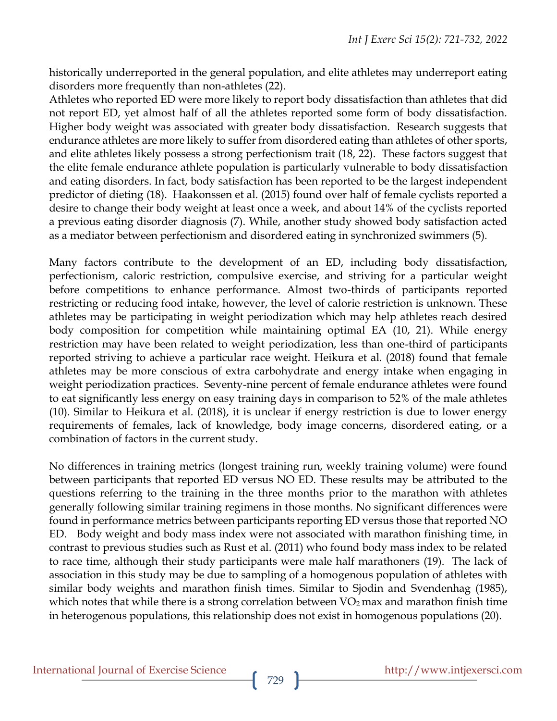historically underreported in the general population, and elite athletes may underreport eating disorders more frequently than non-athletes (22).

Athletes who reported ED were more likely to report body dissatisfaction than athletes that did not report ED, yet almost half of all the athletes reported some form of body dissatisfaction. Higher body weight was associated with greater body dissatisfaction. Research suggests that endurance athletes are more likely to suffer from disordered eating than athletes of other sports, and elite athletes likely possess a strong perfectionism trait (18, 22). These factors suggest that the elite female endurance athlete population is particularly vulnerable to body dissatisfaction and eating disorders. In fact, body satisfaction has been reported to be the largest independent predictor of dieting (18). Haakonssen et al. (2015) found over half of female cyclists reported a desire to change their body weight at least once a week, and about 14% of the cyclists reported a previous eating disorder diagnosis (7). While, another study showed body satisfaction acted as a mediator between perfectionism and disordered eating in synchronized swimmers (5).

Many factors contribute to the development of an ED, including body dissatisfaction, perfectionism, caloric restriction, compulsive exercise, and striving for a particular weight before competitions to enhance performance. Almost two-thirds of participants reported restricting or reducing food intake, however, the level of calorie restriction is unknown. These athletes may be participating in weight periodization which may help athletes reach desired body composition for competition while maintaining optimal EA (10, 21). While energy restriction may have been related to weight periodization, less than one-third of participants reported striving to achieve a particular race weight. Heikura et al. (2018) found that female athletes may be more conscious of extra carbohydrate and energy intake when engaging in weight periodization practices. Seventy-nine percent of female endurance athletes were found to eat significantly less energy on easy training days in comparison to 52% of the male athletes (10). Similar to Heikura et al. (2018), it is unclear if energy restriction is due to lower energy requirements of females, lack of knowledge, body image concerns, disordered eating, or a combination of factors in the current study.

No differences in training metrics (longest training run, weekly training volume) were found between participants that reported ED versus NO ED. These results may be attributed to the questions referring to the training in the three months prior to the marathon with athletes generally following similar training regimens in those months. No significant differences were found in performance metrics between participants reporting ED versus those that reported NO ED. Body weight and body mass index were not associated with marathon finishing time, in contrast to previous studies such as Rust et al. (2011) who found body mass index to be related to race time, although their study participants were male half marathoners (19). The lack of association in this study may be due to sampling of a homogenous population of athletes with similar body weights and marathon finish times. Similar to Sjodin and Svendenhag (1985), which notes that while there is a strong correlation between  $VO<sub>2</sub>$  max and marathon finish time in heterogenous populations, this relationship does not exist in homogenous populations (20).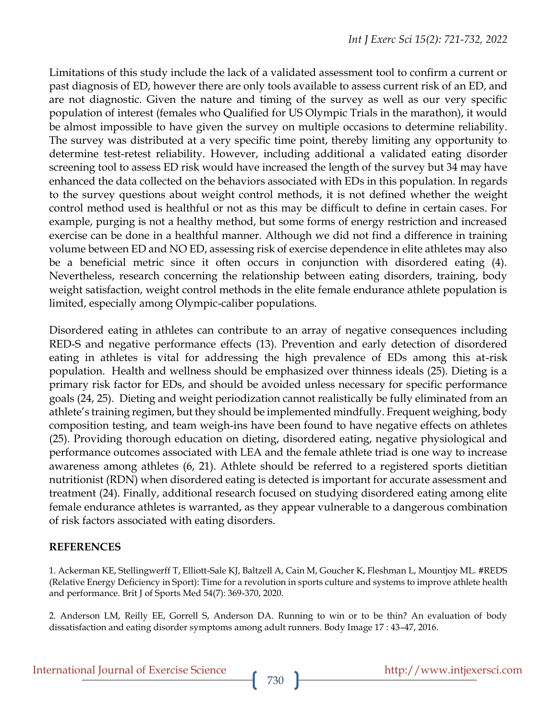Limitations of this study include the lack of a validated assessment tool to confirm a current or past diagnosis of ED, however there are only tools available to assess current risk of an ED, and are not diagnostic. Given the nature and timing of the survey as well as our very specific population of interest (females who Qualified for US Olympic Trials in the marathon), it would be almost impossible to have given the survey on multiple occasions to determine reliability. The survey was distributed at a very specific time point, thereby limiting any opportunity to determine test-retest reliability. However, including additional a validated eating disorder screening tool to assess ED risk would have increased the length of the survey but 34 may have enhanced the data collected on the behaviors associated with EDs in this population. In regards to the survey questions about weight control methods, it is not defined whether the weight control method used is healthful or not as this may be difficult to define in certain cases. For example, purging is not a healthy method, but some forms of energy restriction and increased exercise can be done in a healthful manner. Although we did not find a difference in training volume between ED and NO ED, assessing risk of exercise dependence in elite athletes may also be a beneficial metric since it often occurs in conjunction with disordered eating (4). Nevertheless, research concerning the relationship between eating disorders, training, body weight satisfaction, weight control methods in the elite female endurance athlete population is limited, especially among Olympic-caliber populations.

Disordered eating in athletes can contribute to an array of negative consequences including RED-S and negative performance effects (13). Prevention and early detection of disordered eating in athletes is vital for addressing the high prevalence of EDs among this at-risk population. Health and wellness should be emphasized over thinness ideals (25). Dieting is a primary risk factor for EDs, and should be avoided unless necessary for specific performance goals (24, 25). Dieting and weight periodization cannot realistically be fully eliminated from an athlete's training regimen, but they should be implemented mindfully. Frequent weighing, body composition testing, and team weigh-ins have been found to have negative effects on athletes (25). Providing thorough education on dieting, disordered eating, negative physiological and performance outcomes associated with LEA and the female athlete triad is one way to increase awareness among athletes (6, 21). Athlete should be referred to a registered sports dietitian nutritionist (RDN) when disordered eating is detected is important for accurate assessment and treatment (24). Finally, additional research focused on studying disordered eating among elite female endurance athletes is warranted, as they appear vulnerable to a dangerous combination of risk factors associated with eating disorders.

#### **REFERENCES**

1. Ackerman KE, Stellingwerff T, Elliott-Sale KJ, Baltzell A, Cain M, Goucher K, Fleshman L, Mountjoy ML. #REDS (Relative Energy Deficiency in Sport): Time for a revolution in sports culture and systems to improve athlete health and performance. Brit J of Sports Med 54(7): 369-370, 2020.

2. Anderson LM, Reilly EE, Gorrell S, Anderson DA. Running to win or to be thin? An evaluation of body dissatisfaction and eating disorder symptoms among adult runners. Body Image 17 : 43–47, 2016.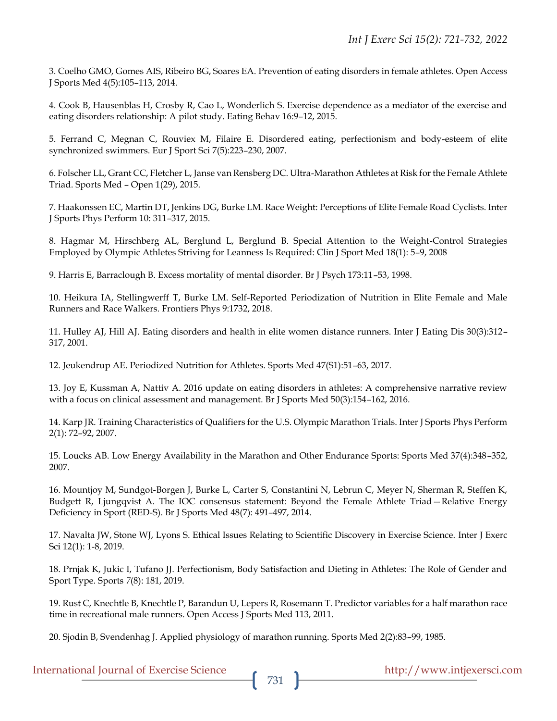3. Coelho GMO, Gomes AIS, Ribeiro BG, Soares EA. Prevention of eating disorders in female athletes. Open Access J Sports Med 4(5):105–113, 2014.

4. Cook B, Hausenblas H, Crosby R, Cao L, Wonderlich S. Exercise dependence as a mediator of the exercise and eating disorders relationship: A pilot study. Eating Behav 16:9–12, 2015.

5. Ferrand C, Megnan C, Rouviex M, Filaire E. Disordered eating, perfectionism and body-esteem of elite synchronized swimmers. Eur J Sport Sci 7(5):223–230, 2007.

6. Folscher LL, Grant CC, Fletcher L, Janse van Rensberg DC. Ultra-Marathon Athletes at Risk for the Female Athlete Triad. Sports Med – Open 1(29), 2015.

7. Haakonssen EC, Martin DT, Jenkins DG, Burke LM. Race Weight: Perceptions of Elite Female Road Cyclists. Inter J Sports Phys Perform 10: 311–317, 2015.

8. Hagmar M, Hirschberg AL, Berglund L, Berglund B. Special Attention to the Weight-Control Strategies Employed by Olympic Athletes Striving for Leanness Is Required: Clin J Sport Med 18(1): 5–9, 2008

9. Harris E, Barraclough B. Excess mortality of mental disorder. Br J Psych 173:11–53, 1998.

10. Heikura IA, Stellingwerff T, Burke LM. Self-Reported Periodization of Nutrition in Elite Female and Male Runners and Race Walkers. Frontiers Phys 9:1732, 2018.

11. Hulley AJ, Hill AJ. Eating disorders and health in elite women distance runners. Inter J Eating Dis 30(3):312– 317, 2001.

12. Jeukendrup AE. Periodized Nutrition for Athletes. Sports Med 47(S1):51–63, 2017.

13. Joy E, Kussman A, Nattiv A. 2016 update on eating disorders in athletes: A comprehensive narrative review with a focus on clinical assessment and management. Br J Sports Med 50(3):154–162, 2016.

14. Karp JR. Training Characteristics of Qualifiers for the U.S. Olympic Marathon Trials. Inter J Sports Phys Perform 2(1): 72–92, 2007.

15. Loucks AB. Low Energy Availability in the Marathon and Other Endurance Sports: Sports Med 37(4):348–352, 2007.

16. Mountjoy M, Sundgot-Borgen J, Burke L, Carter S, Constantini N, Lebrun C, Meyer N, Sherman R, Steffen K, Budgett R, Ljungqvist A. The IOC consensus statement: Beyond the Female Athlete Triad—Relative Energy Deficiency in Sport (RED-S). Br J Sports Med 48(7): 491–497, 2014.

17. Navalta JW, Stone WJ, Lyons S. Ethical Issues Relating to Scientific Discovery in Exercise Science. Inter J Exerc Sci 12(1): 1-8, 2019.

18. Prnjak K, Jukic I, Tufano JJ. Perfectionism, Body Satisfaction and Dieting in Athletes: The Role of Gender and Sport Type. Sports *7*(8): 181, 2019.

19. Rust C, Knechtle B, Knechtle P, Barandun U, Lepers R, Rosemann T. Predictor variables for a half marathon race time in recreational male runners. Open Access J Sports Med 113, 2011.

20. Sjodin B, Svendenhag J. Applied physiology of marathon running. Sports Med 2(2):83–99, 1985.